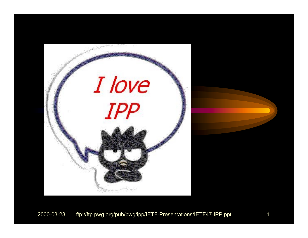

#### 2000-03-28 ftp://ftp.pwg.org/pub/pwg/ipp/IETF-Presentations/IETF47-IPP.ppt 1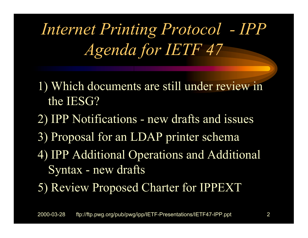*Internet Printing Protocol - IPP Agenda for IETF 47*

- 1) Which documents are still under review in the IESG?
- 2) IPP Notifications new drafts and issues
- 3) Proposal for an LDAP printer schema
- 4) IPP Additional Operations and Additional Syntax - new drafts
- 5) Review Proposed Charter for IPPEXT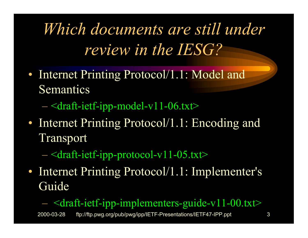*Which documents are still under review in the IESG?*

- Internet Printing Protocol/1.1: Model and Semantics
	- <draft-ietf-ipp-model-v11-06.txt>
- Internet Printing Protocol/1.1: Encoding and Transport
	- <draft-ietf-ipp-protocol-v11-05.txt>
- Internet Printing Protocol/1.1: Implementer's Guide

<draft-ietf-ipp-implementers-guide-v11-00.txt>

2000-03-28 ftp://ftp.pwg.org/pub/pwg/ipp/IETF-Presentations/IETF47-IPP.ppt 3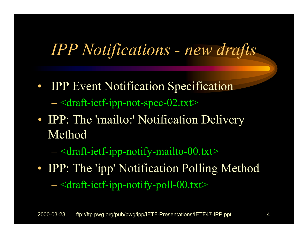#### *IPP Notifications - new drafts*

- **IPP Event Notification Specification** <draft-ietf-ipp-not-spec-02.txt>
- IPP: The 'mailto:' Notification Delivery Method
	- <draft-ietf-ipp-notify-mailto-00.txt>
- IPP: The 'ipp' Notification Polling Method <draft-ietf-ipp-notify-poll-00.txt>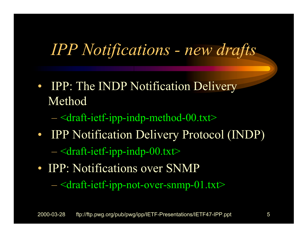#### *IPP Notifications - new drafts*

- IPP: The INDP Notification Delivery Method
	- <draft-ietf-ipp-indp-method-00.txt>
- IPP Notification Delivery Protocol (INDP) <draft-ietf-ipp-indp-00.txt>
- IPP: Notifications over SNMP

<draft-ietf-ipp-not-over-snmp-01.txt>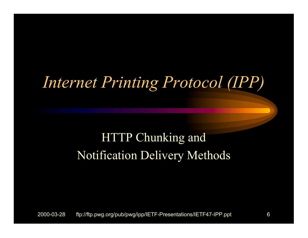#### *Internet Printing Protocol (IPP)*

#### HTTP Chunking and Notification Delivery Methods

2000-03-28 ftp://ftp.pwg.org/pub/pwg/ipp/IETF-Presentations/IETF47-IPP.ppt 6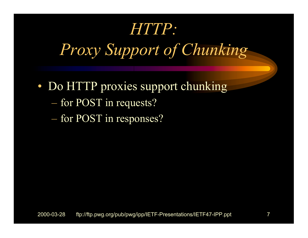#### *HTTP:*

*Proxy Support of Chunking*

- Do HTTP proxies support chunking
	- for POST in requests?
	- for POST in responses?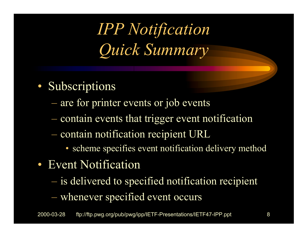*IPP Notification Quick Summary*

- Subscriptions
	- are for printer events or job events
	- contain events that trigger event notification
	- $-$  contain notification recipient URL
		- scheme specifies event notification delivery method
- Event Notification
	- is delivered to specified notification recipient whenever specified event occurs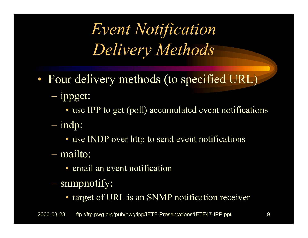*Event Notification Delivery Methods*

- Four delivery methods (to specified URL)
	- ippget:
		- use IPP to get (poll) accumulated event notifications
	- indp:
		- use INDP over http to send event notifications
	- mailto:
		- email an event notification
	- snmpnotify:
		- target of URL is an SNMP notification receiver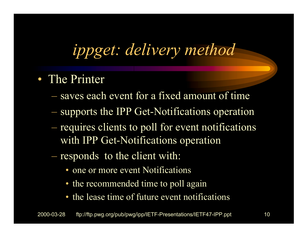# *ippget: delivery method*

- The Printer
	- saves each event for a fixed amount of time
	- supports the IPP Get-Notifications operation
	- requires clients to poll for event notifications with IPP Get-Notifications operation
	- responds to the client with:
		- one or more event Notifications
		- the recommended time to poll again
		- the lease time of future event notifications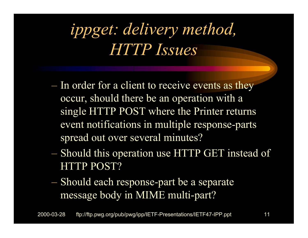# *ippget: delivery method, HTTP Issues*

- In order for a client to receive events as they occur, should there be an operation with a single HTTP POST where the Printer returns event notifications in multiple response-parts spread out over several minutes?
- Should this operation use HTTP GET instead of HTTP POST?
- $-$  Should each response-part be a separate message body in MIME multi-part?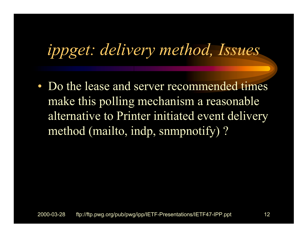# *ippget: delivery method, Issues*

• Do the lease and server recommended times make this polling mechanism a reasonable alternative to Printer initiated event delivery method (mailto, indp, snmpnotify) ?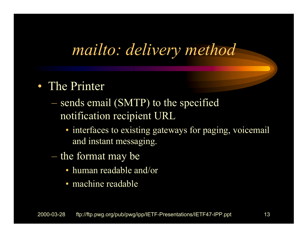#### *mailto: delivery method*

#### • The Printer

- sends email (SMTP) to the specified notification recipient URL
	- interfaces to existing gateways for paging, voicemail and instant messaging.
- $\hbox{--}$  the format may be
	- human readable and/or
	- machine readable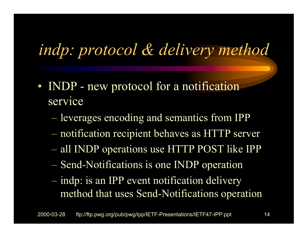# *indp: protocol & delivery method*

- INDP new protocol for a notification service
	- leverages encoding and semantics from IPP
	- notification recipient behaves as HTTP server
	- all INDP operations use HTTP POST like IPP
	- Send-Notifications is one INDP operation
	- indp: is an IPP event notification delivery method that uses Send-Notifications operation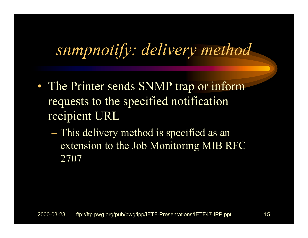#### *snmpnotify: delivery method*

- The Printer sends SNMP trap or inform requests to the specified notification recipient URL
	- This delivery method is specified as an extension to the Job Monitoring MIB RFC 2707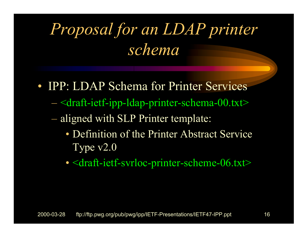# *Proposal for an LDAP printer schema*

- **IPP: LDAP Schema for Printer Services** 
	- <draft-ietf-ipp-ldap-printer-schema-00.txt>
	- aligned with SLP Printer template:
		- Definition of the Printer Abstract Service Type v2.0
		- <draft-ietf-svrloc-printer-scheme-06.txt>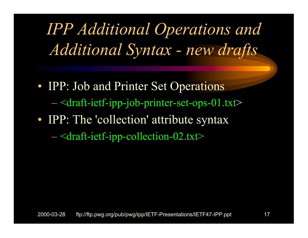*IPP Additional Operations and Additional Syntax - new drafts*

- IPP: Job and Printer Set Operations <draft-ietf-ipp-job-printer-set-ops-01.txt >
- IPP: The 'collection' attribute syntax
	- <draft-ietf-ipp-collection-02.txt>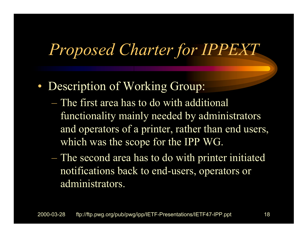#### *Proposed Charter for IPPEXT*

- Description of Working Group:
	- The first area has to do with additional functionality mainly needed by administrators and operators of a printer, rather than end users, which was the scope for the IPP WG.
	- The second area has to do with printer initiated notifications back to end-users, operators or administrators.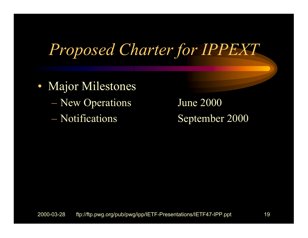#### *Proposed Charter for IPPEXT*

- Major Milestones
	- New Operations June 2000
	- Notifications

September 2000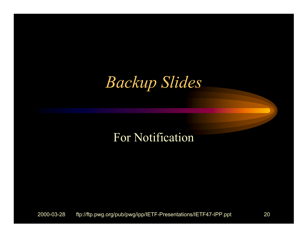#### *Backup Slides*

#### For Notification

2000-03-28 ftp://ftp.pwg.org/pub/pwg/ipp/IETF-Presentations/IETF47-IPP.ppt 20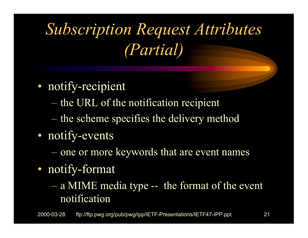*Subscription Request Attributes (Partial)*

- notify-recipient
	- the URL of the notification recipient
	- the scheme specifies the delivery method
- notify-events
	- one or more keywords that are event names
- notify-format
	- $-$  a MIME media type -- the format of the event notification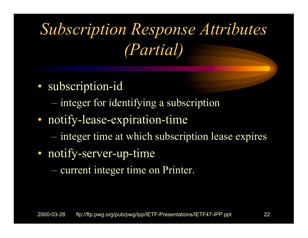*Subscription Response Attributes (Partial)*

- subscription-id
	- integer for identifying a subscription
- notify-lease-expiration-time
	- $-$  integer time at which subscription lease expires
- notify-server-up-time
	- current integer time on Printer.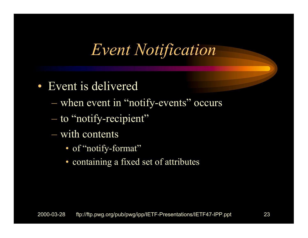#### *Event Notification*

- Event is delivered
	- when event in "notify-events" occurs
	- to "notify-recipient"
	- with contents
		- of "notify-format"
		- containing a fixed set of attributes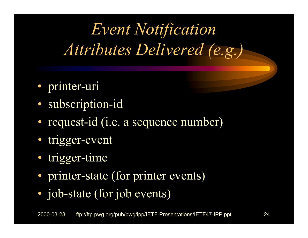*Event Notification Attributes Delivered (e.g.)*

- printer-uri
- subscription-id
- request-id (i.e. a sequence number)
- trigger-event
- trigger-time
- printer-state (for printer events)
- job-state (for job events)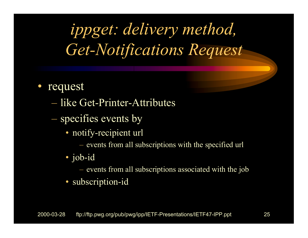*ippget: delivery method, Get-Notifications Request*

- request
	- like Get-Printer-Attributes
	- specifies events by
		- notify-recipient url
			- events from all subscriptions with the specified url
		- job-id
			- –events from all subscriptions associated with the job
		- subscription-id